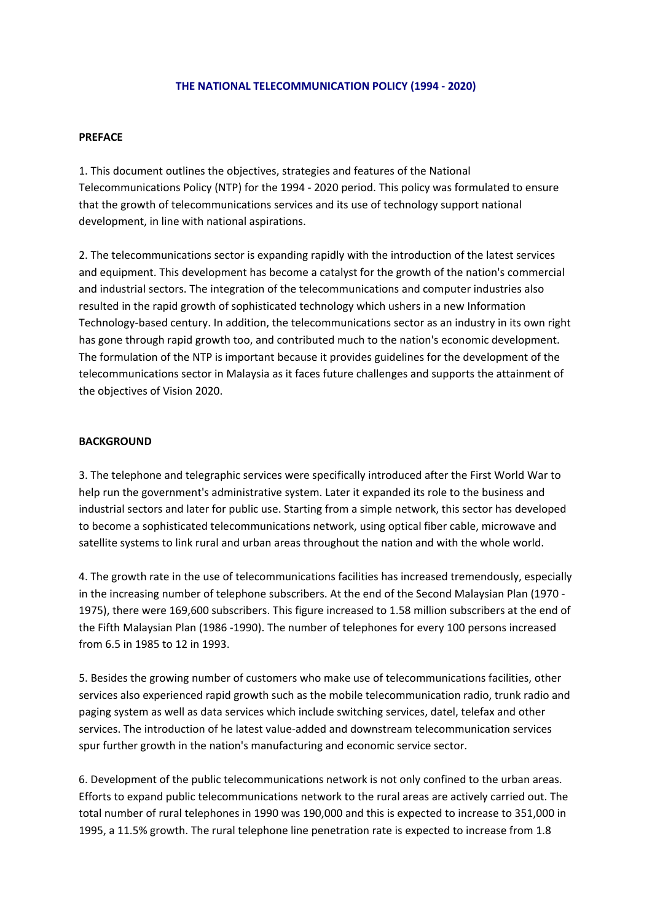#### **THE NATIONAL TELECOMMUNICATION POLICY (1994 ‐ 2020)**

#### **PREFACE**

1. This document outlines the objectives, strategies and features of the National Telecommunications Policy (NTP) for the 1994 ‐ 2020 period. This policy was formulated to ensure that the growth of telecommunications services and its use of technology support national development, in line with national aspirations.

2. The telecommunications sector is expanding rapidly with the introduction of the latest services and equipment. This development has become a catalyst for the growth of the nation's commercial and industrial sectors. The integration of the telecommunications and computer industries also resulted in the rapid growth of sophisticated technology which ushers in a new Information Technology‐based century. In addition, the telecommunications sector as an industry in its own right has gone through rapid growth too, and contributed much to the nation's economic development. The formulation of the NTP is important because it provides guidelines for the development of the telecommunications sector in Malaysia as it faces future challenges and supports the attainment of the objectives of Vision 2020.

#### **BACKGROUND**

3. The telephone and telegraphic services were specifically introduced after the First World War to help run the government's administrative system. Later it expanded its role to the business and industrial sectors and later for public use. Starting from a simple network, this sector has developed to become a sophisticated telecommunications network, using optical fiber cable, microwave and satellite systems to link rural and urban areas throughout the nation and with the whole world.

4. The growth rate in the use of telecommunications facilities has increased tremendously, especially in the increasing number of telephone subscribers. At the end of the Second Malaysian Plan (1970 ‐ 1975), there were 169,600 subscribers. This figure increased to 1.58 million subscribers at the end of the Fifth Malaysian Plan (1986 ‐1990). The number of telephones for every 100 persons increased from 6.5 in 1985 to 12 in 1993.

5. Besides the growing number of customers who make use of telecommunications facilities, other services also experienced rapid growth such as the mobile telecommunication radio, trunk radio and paging system as well as data services which include switching services, datel, telefax and other services. The introduction of he latest value‐added and downstream telecommunication services spur further growth in the nation's manufacturing and economic service sector.

6. Development of the public telecommunications network is not only confined to the urban areas. Efforts to expand public telecommunications network to the rural areas are actively carried out. The total number of rural telephones in 1990 was 190,000 and this is expected to increase to 351,000 in 1995, a 11.5% growth. The rural telephone line penetration rate is expected to increase from 1.8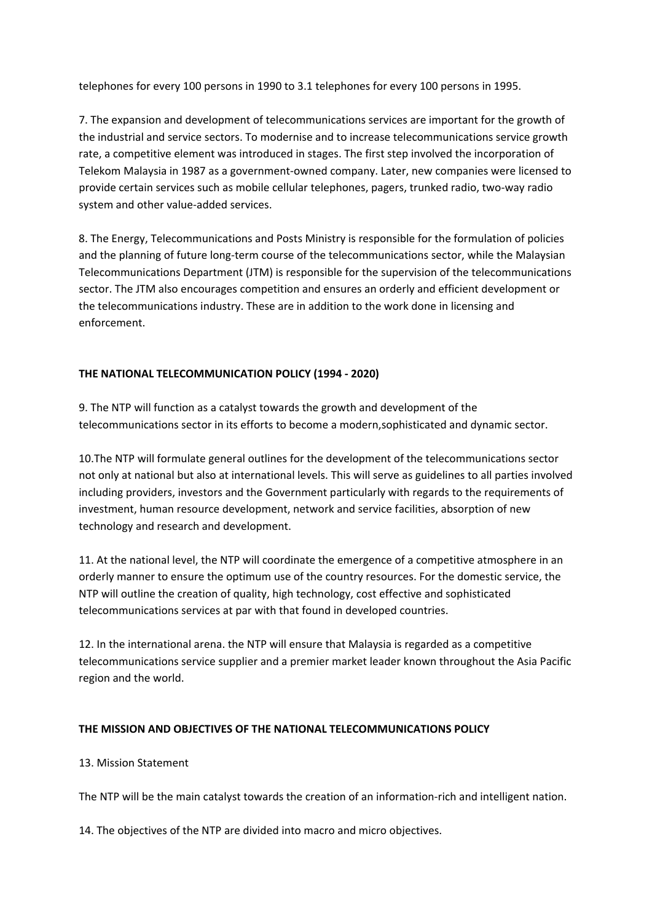telephones for every 100 persons in 1990 to 3.1 telephones for every 100 persons in 1995.

7. The expansion and development of telecommunications services are important for the growth of the industrial and service sectors. To modernise and to increase telecommunications service growth rate, a competitive element was introduced in stages. The first step involved the incorporation of Telekom Malaysia in 1987 as a government‐owned company. Later, new companies were licensed to provide certain services such as mobile cellular telephones, pagers, trunked radio, two‐way radio system and other value‐added services.

8. The Energy, Telecommunications and Posts Ministry is responsible for the formulation of policies and the planning of future long-term course of the telecommunications sector, while the Malaysian Telecommunications Department (JTM) is responsible for the supervision of the telecommunications sector. The JTM also encourages competition and ensures an orderly and efficient development or the telecommunications industry. These are in addition to the work done in licensing and enforcement.

# **THE NATIONAL TELECOMMUNICATION POLICY (1994 ‐ 2020)**

9. The NTP will function as a catalyst towards the growth and development of the telecommunications sector in its efforts to become a modern,sophisticated and dynamic sector.

10.The NTP will formulate general outlines for the development of the telecommunications sector not only at national but also at international levels. This will serve as guidelines to all parties involved including providers, investors and the Government particularly with regards to the requirements of investment, human resource development, network and service facilities, absorption of new technology and research and development.

11. At the national level, the NTP will coordinate the emergence of a competitive atmosphere in an orderly manner to ensure the optimum use of the country resources. For the domestic service, the NTP will outline the creation of quality, high technology, cost effective and sophisticated telecommunications services at par with that found in developed countries.

12. In the international arena. the NTP will ensure that Malaysia is regarded as a competitive telecommunications service supplier and a premier market leader known throughout the Asia Pacific region and the world.

# **THE MISSION AND OBJECTIVES OF THE NATIONAL TELECOMMUNICATIONS POLICY**

# 13. Mission Statement

The NTP will be the main catalyst towards the creation of an information‐rich and intelligent nation.

14. The objectives of the NTP are divided into macro and micro objectives.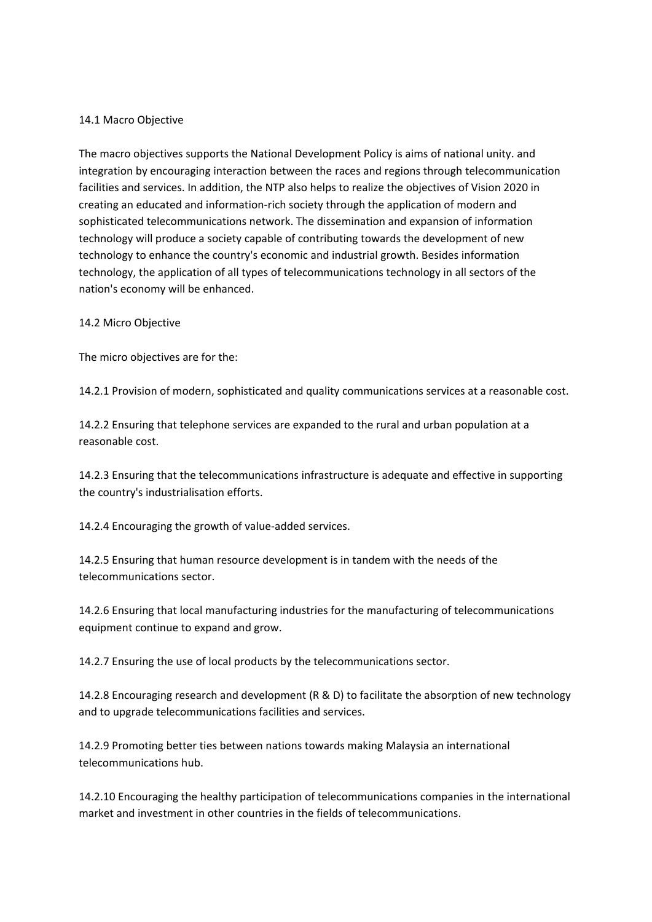### 14.1 Macro Objective

The macro objectives supports the National Development Policy is aims of national unity. and integration by encouraging interaction between the races and regions through telecommunication facilities and services. In addition, the NTP also helps to realize the objectives of Vision 2020 in creating an educated and information‐rich society through the application of modern and sophisticated telecommunications network. The dissemination and expansion of information technology will produce a society capable of contributing towards the development of new technology to enhance the country's economic and industrial growth. Besides information technology, the application of all types of telecommunications technology in all sectors of the nation's economy will be enhanced.

#### 14.2 Micro Objective

The micro objectives are for the:

14.2.1 Provision of modern, sophisticated and quality communications services at a reasonable cost.

14.2.2 Ensuring that telephone services are expanded to the rural and urban population at a reasonable cost.

14.2.3 Ensuring that the telecommunications infrastructure is adequate and effective in supporting the country's industrialisation efforts.

14.2.4 Encouraging the growth of value‐added services.

14.2.5 Ensuring that human resource development is in tandem with the needs of the telecommunications sector.

14.2.6 Ensuring that local manufacturing industries for the manufacturing of telecommunications equipment continue to expand and grow.

14.2.7 Ensuring the use of local products by the telecommunications sector.

14.2.8 Encouraging research and development (R & D) to facilitate the absorption of new technology and to upgrade telecommunications facilities and services.

14.2.9 Promoting better ties between nations towards making Malaysia an international telecommunications hub.

14.2.10 Encouraging the healthy participation of telecommunications companies in the international market and investment in other countries in the fields of telecommunications.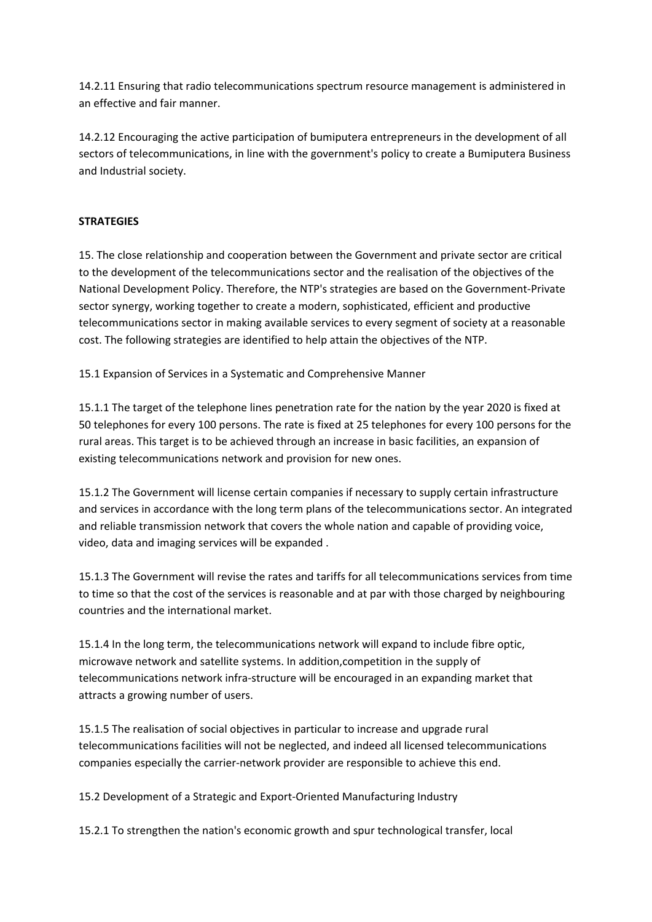14.2.11 Ensuring that radio telecommunications spectrum resource management is administered in an effective and fair manner.

14.2.12 Encouraging the active participation of bumiputera entrepreneurs in the development of all sectors of telecommunications, in line with the government's policy to create a Bumiputera Business and Industrial society.

### **STRATEGIES**

15. The close relationship and cooperation between the Government and private sector are critical to the development of the telecommunications sector and the realisation of the objectives of the National Development Policy. Therefore, the NTP's strategies are based on the Government‐Private sector synergy, working together to create a modern, sophisticated, efficient and productive telecommunications sector in making available services to every segment of society at a reasonable cost. The following strategies are identified to help attain the objectives of the NTP.

15.1 Expansion of Services in a Systematic and Comprehensive Manner

15.1.1 The target of the telephone lines penetration rate for the nation by the year 2020 is fixed at 50 telephones for every 100 persons. The rate is fixed at 25 telephones for every 100 persons for the rural areas. This target is to be achieved through an increase in basic facilities, an expansion of existing telecommunications network and provision for new ones.

15.1.2 The Government will license certain companies if necessary to supply certain infrastructure and services in accordance with the long term plans of the telecommunications sector. An integrated and reliable transmission network that covers the whole nation and capable of providing voice, video, data and imaging services will be expanded .

15.1.3 The Government will revise the rates and tariffs for all telecommunications services from time to time so that the cost of the services is reasonable and at par with those charged by neighbouring countries and the international market.

15.1.4 In the long term, the telecommunications network will expand to include fibre optic, microwave network and satellite systems. In addition,competition in the supply of telecommunications network infra‐structure will be encouraged in an expanding market that attracts a growing number of users.

15.1.5 The realisation of social objectives in particular to increase and upgrade rural telecommunications facilities will not be neglected, and indeed all licensed telecommunications companies especially the carrier‐network provider are responsible to achieve this end.

15.2 Development of a Strategic and Export‐Oriented Manufacturing Industry

15.2.1 To strengthen the nation's economic growth and spur technological transfer, local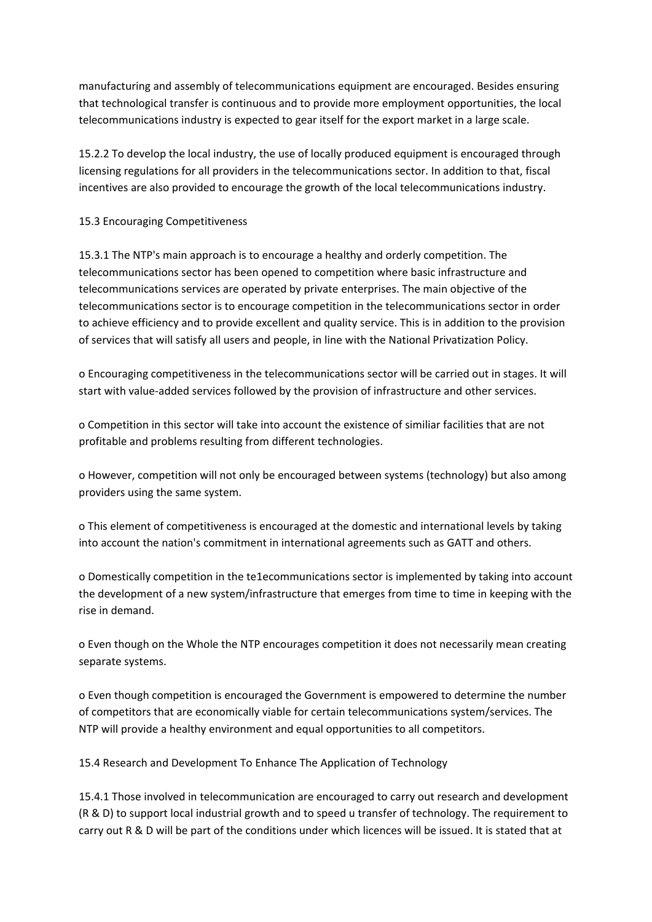manufacturing and assembly of telecommunications equipment are encouraged. Besides ensuring that technological transfer is continuous and to provide more employment opportunities, the local telecommunications industry is expected to gear itself for the export market in a large scale.

15.2.2 To develop the local industry, the use of locally produced equipment is encouraged through licensing regulations for all providers in the telecommunications sector. In addition to that, fiscal incentives are also provided to encourage the growth of the local telecommunications industry.

### 15.3 Encouraging Competitiveness

15.3.1 The NTP's main approach is to encourage a healthy and orderly competition. The telecommunications sector has been opened to competition where basic infrastructure and telecommunications services are operated by private enterprises. The main objective of the telecommunications sector is to encourage competition in the telecommunications sector in order to achieve efficiency and to provide excellent and quality service. This is in addition to the provision of services that will satisfy all users and people, in line with the National Privatization Policy.

o Encouraging competitiveness in the telecommunications sector will be carried out in stages. It will start with value‐added services followed by the provision of infrastructure and other services.

o Competition in this sector will take into account the existence of similiar facilities that are not profitable and problems resulting from different technologies.

o However, competition will not only be encouraged between systems (technology) but also among providers using the same system.

o This element of competitiveness is encouraged at the domestic and international levels by taking into account the nation's commitment in international agreements such as GATT and others.

o Domestically competition in the te1ecommunications sector is implemented by taking into account the development of a new system/infrastructure that emerges from time to time in keeping with the rise in demand.

o Even though on the Whole the NTP encourages competition it does not necessarily mean creating separate systems.

o Even though competition is encouraged the Government is empowered to determine the number of competitors that are economically viable for certain telecommunications system/services. The NTP will provide a healthy environment and equal opportunities to all competitors.

15.4 Research and Development To Enhance The Application of Technology

15.4.1 Those involved in telecommunication are encouraged to carry out research and development (R & D) to support local industrial growth and to speed u transfer of technology. The requirement to carry out R & D will be part of the conditions under which licences will be issued. It is stated that at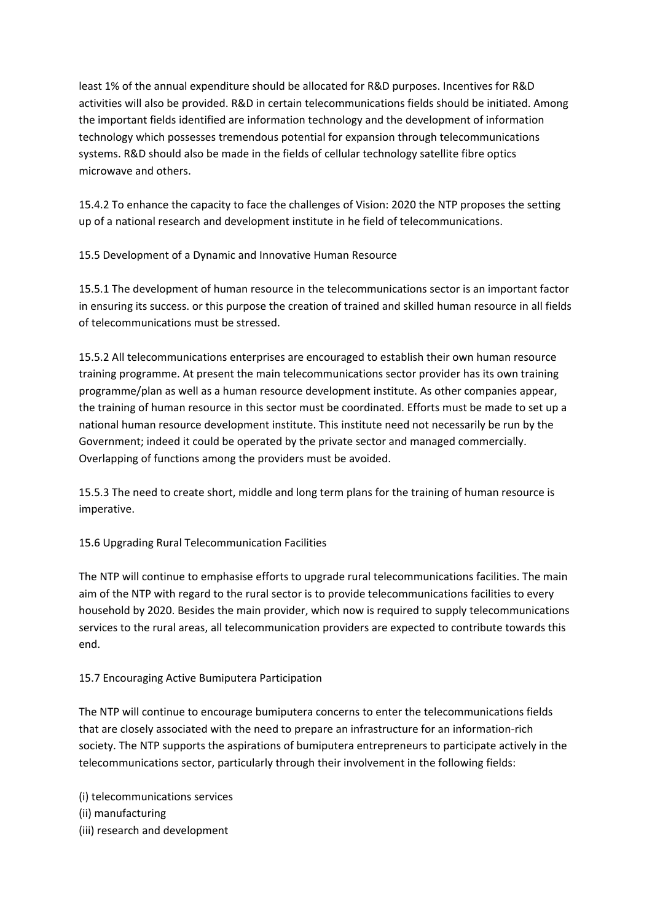least 1% of the annual expenditure should be allocated for R&D purposes. Incentives for R&D activities will also be provided. R&D in certain telecommunications fields should be initiated. Among the important fields identified are information technology and the development of information technology which possesses tremendous potential for expansion through telecommunications systems. R&D should also be made in the fields of cellular technology satellite fibre optics microwave and others.

15.4.2 To enhance the capacity to face the challenges of Vision: 2020 the NTP proposes the setting up of a national research and development institute in he field of telecommunications.

15.5 Development of a Dynamic and Innovative Human Resource

15.5.1 The development of human resource in the telecommunications sector is an important factor in ensuring its success. or this purpose the creation of trained and skilled human resource in all fields of telecommunications must be stressed.

15.5.2 All telecommunications enterprises are encouraged to establish their own human resource training programme. At present the main telecommunications sector provider has its own training programme/plan as well as a human resource development institute. As other companies appear, the training of human resource in this sector must be coordinated. Efforts must be made to set up a national human resource development institute. This institute need not necessarily be run by the Government; indeed it could be operated by the private sector and managed commercially. Overlapping of functions among the providers must be avoided.

15.5.3 The need to create short, middle and long term plans for the training of human resource is imperative.

15.6 Upgrading Rural Telecommunication Facilities

The NTP will continue to emphasise efforts to upgrade rural telecommunications facilities. The main aim of the NTP with regard to the rural sector is to provide telecommunications facilities to every household by 2020. Besides the main provider, which now is required to supply telecommunications services to the rural areas, all telecommunication providers are expected to contribute towards this end.

# 15.7 Encouraging Active Bumiputera Participation

The NTP will continue to encourage bumiputera concerns to enter the telecommunications fields that are closely associated with the need to prepare an infrastructure for an information‐rich society. The NTP supports the aspirations of bumiputera entrepreneurs to participate actively in the telecommunications sector, particularly through their involvement in the following fields:

(i) telecommunications services (ii) manufacturing (iii) research and development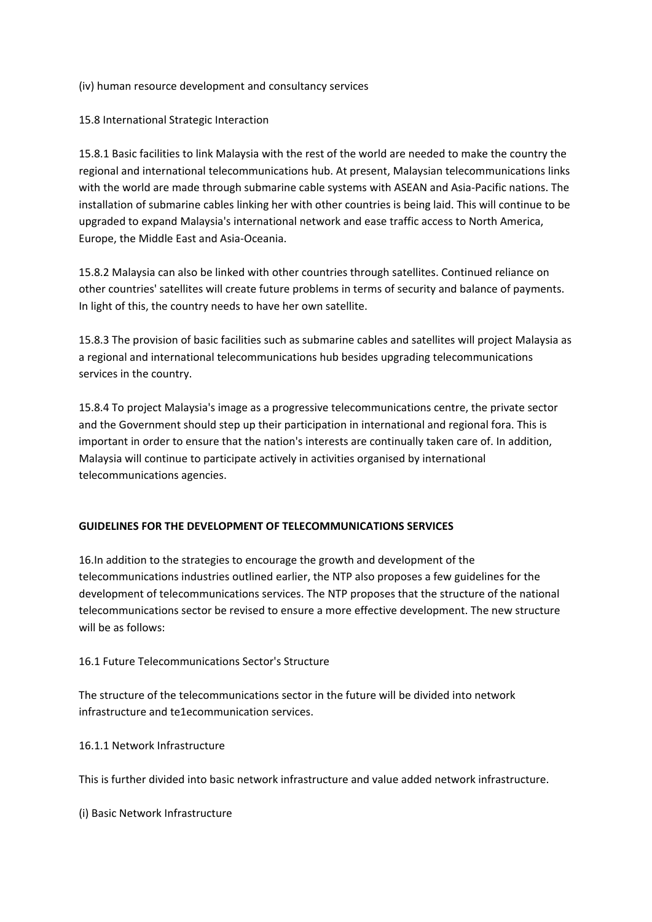### (iv) human resource development and consultancy services

### 15.8 International Strategic Interaction

15.8.1 Basic facilities to link Malaysia with the rest of the world are needed to make the country the regional and international telecommunications hub. At present, Malaysian telecommunications links with the world are made through submarine cable systems with ASEAN and Asia‐Pacific nations. The installation of submarine cables linking her with other countries is being laid. This will continue to be upgraded to expand Malaysia's international network and ease traffic access to North America, Europe, the Middle East and Asia‐Oceania.

15.8.2 Malaysia can also be linked with other countries through satellites. Continued reliance on other countries' satellites will create future problems in terms of security and balance of payments. In light of this, the country needs to have her own satellite.

15.8.3 The provision of basic facilities such as submarine cables and satellites will project Malaysia as a regional and international telecommunications hub besides upgrading telecommunications services in the country.

15.8.4 To project Malaysia's image as a progressive telecommunications centre, the private sector and the Government should step up their participation in international and regional fora. This is important in order to ensure that the nation's interests are continually taken care of. In addition, Malaysia will continue to participate actively in activities organised by international telecommunications agencies.

# **GUIDELINES FOR THE DEVELOPMENT OF TELECOMMUNICATIONS SERVICES**

16.In addition to the strategies to encourage the growth and development of the telecommunications industries outlined earlier, the NTP also proposes a few guidelines for the development of telecommunications services. The NTP proposes that the structure of the national telecommunications sector be revised to ensure a more effective development. The new structure will be as follows:

# 16.1 Future Telecommunications Sector's Structure

The structure of the telecommunications sector in the future will be divided into network infrastructure and te1ecommunication services.

16.1.1 Network Infrastructure

This is further divided into basic network infrastructure and value added network infrastructure.

(i) Basic Network Infrastructure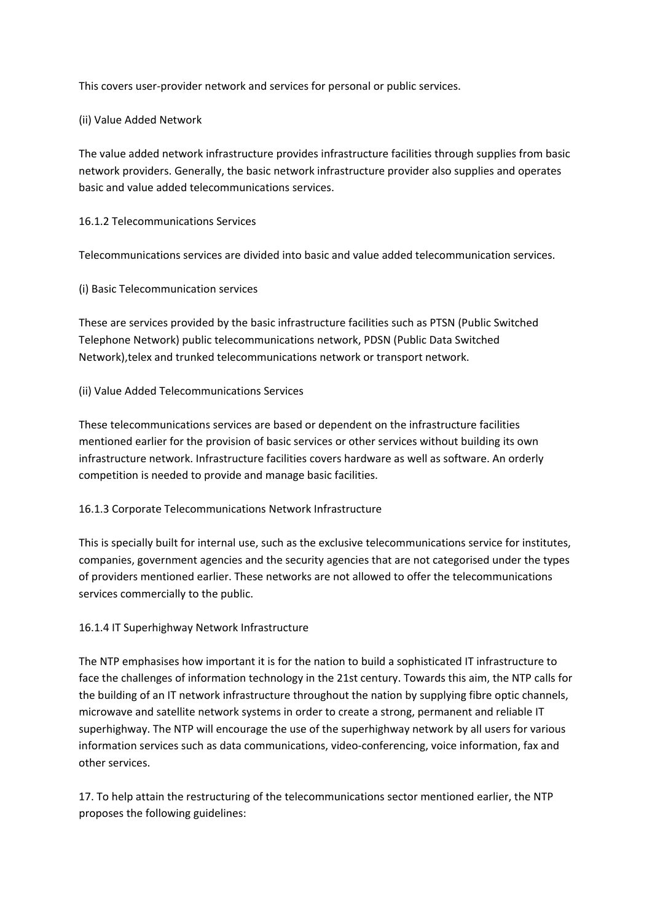This covers user‐provider network and services for personal or public services.

(ii) Value Added Network

The value added network infrastructure provides infrastructure facilities through supplies from basic network providers. Generally, the basic network infrastructure provider also supplies and operates basic and value added telecommunications services.

16.1.2 Telecommunications Services

Telecommunications services are divided into basic and value added telecommunication services.

(i) Basic Telecommunication services

These are services provided by the basic infrastructure facilities such as PTSN (Public Switched Telephone Network) public telecommunications network, PDSN (Public Data Switched Network),telex and trunked telecommunications network or transport network.

### (ii) Value Added Telecommunications Services

These telecommunications services are based or dependent on the infrastructure facilities mentioned earlier for the provision of basic services or other services without building its own infrastructure network. Infrastructure facilities covers hardware as well as software. An orderly competition is needed to provide and manage basic facilities.

### 16.1.3 Corporate Telecommunications Network Infrastructure

This is specially built for internal use, such as the exclusive telecommunications service for institutes, companies, government agencies and the security agencies that are not categorised under the types of providers mentioned earlier. These networks are not allowed to offer the telecommunications services commercially to the public.

### 16.1.4 IT Superhighway Network Infrastructure

The NTP emphasises how important it is for the nation to build a sophisticated IT infrastructure to face the challenges of information technology in the 21st century. Towards this aim, the NTP calls for the building of an IT network infrastructure throughout the nation by supplying fibre optic channels, microwave and satellite network systems in order to create a strong, permanent and reliable IT superhighway. The NTP will encourage the use of the superhighway network by all users for various information services such as data communications, video-conferencing, voice information, fax and other services.

17. To help attain the restructuring of the telecommunications sector mentioned earlier, the NTP proposes the following guidelines: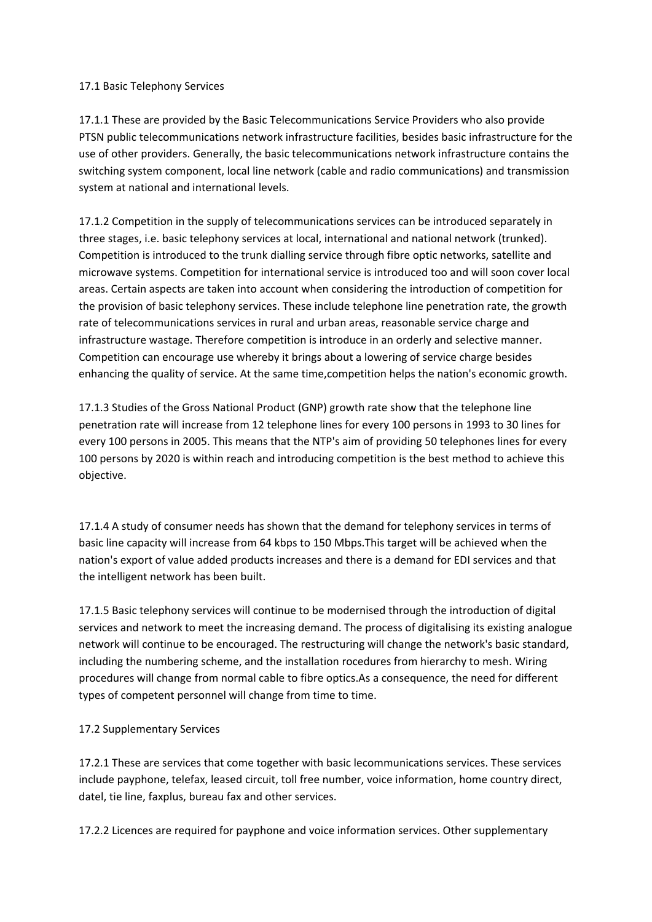### 17.1 Basic Telephony Services

17.1.1 These are provided by the Basic Telecommunications Service Providers who also provide PTSN public telecommunications network infrastructure facilities, besides basic infrastructure for the use of other providers. Generally, the basic telecommunications network infrastructure contains the switching system component, local line network (cable and radio communications) and transmission system at national and international levels.

17.1.2 Competition in the supply of telecommunications services can be introduced separately in three stages, i.e. basic telephony services at local, international and national network (trunked). Competition is introduced to the trunk dialling service through fibre optic networks, satellite and microwave systems. Competition for international service is introduced too and will soon cover local areas. Certain aspects are taken into account when considering the introduction of competition for the provision of basic telephony services. These include telephone line penetration rate, the growth rate of telecommunications services in rural and urban areas, reasonable service charge and infrastructure wastage. Therefore competition is introduce in an orderly and selective manner. Competition can encourage use whereby it brings about a lowering of service charge besides enhancing the quality of service. At the same time,competition helps the nation's economic growth.

17.1.3 Studies of the Gross National Product (GNP) growth rate show that the telephone line penetration rate will increase from 12 telephone lines for every 100 persons in 1993 to 30 lines for every 100 persons in 2005. This means that the NTP's aim of providing 50 telephones lines for every 100 persons by 2020 is within reach and introducing competition is the best method to achieve this objective.

17.1.4 A study of consumer needs has shown that the demand for telephony services in terms of basic line capacity will increase from 64 kbps to 150 Mbps.This target will be achieved when the nation's export of value added products increases and there is a demand for EDI services and that the intelligent network has been built.

17.1.5 Basic telephony services will continue to be modernised through the introduction of digital services and network to meet the increasing demand. The process of digitalising its existing analogue network will continue to be encouraged. The restructuring will change the network's basic standard, including the numbering scheme, and the installation rocedures from hierarchy to mesh. Wiring procedures will change from normal cable to fibre optics.As a consequence, the need for different types of competent personnel will change from time to time.

# 17.2 Supplementary Services

17.2.1 These are services that come together with basic lecommunications services. These services include payphone, telefax, leased circuit, toll free number, voice information, home country direct, datel, tie line, faxplus, bureau fax and other services.

17.2.2 Licences are required for payphone and voice information services. Other supplementary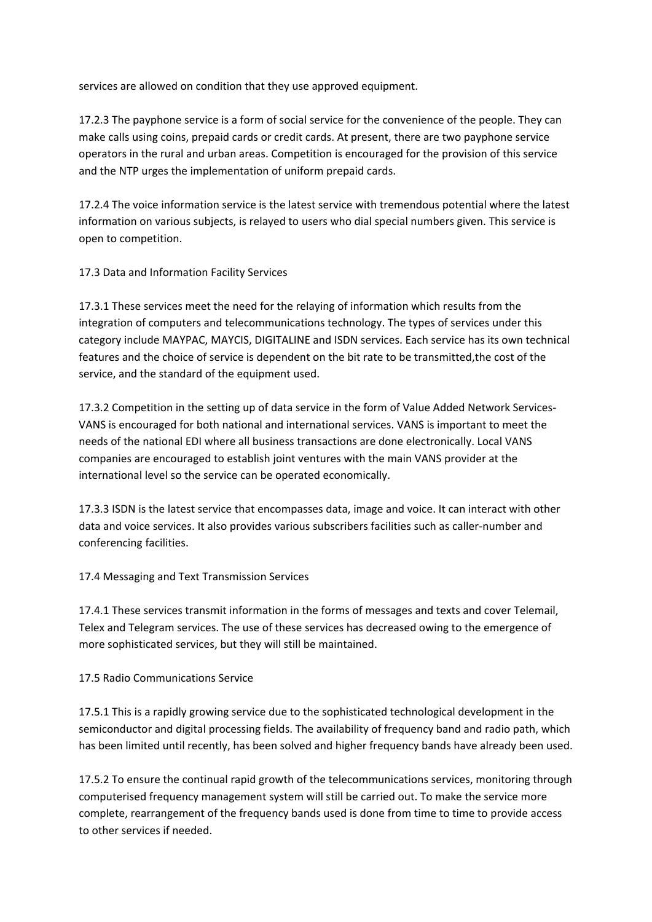services are allowed on condition that they use approved equipment.

17.2.3 The payphone service is a form of social service for the convenience of the people. They can make calls using coins, prepaid cards or credit cards. At present, there are two payphone service operators in the rural and urban areas. Competition is encouraged for the provision of this service and the NTP urges the implementation of uniform prepaid cards.

17.2.4 The voice information service is the latest service with tremendous potential where the latest information on various subjects, is relayed to users who dial special numbers given. This service is open to competition.

17.3 Data and Information Facility Services

17.3.1 These services meet the need for the relaying of information which results from the integration of computers and telecommunications technology. The types of services under this category include MAYPAC, MAYCIS, DIGITALINE and ISDN services. Each service has its own technical features and the choice of service is dependent on the bit rate to be transmitted,the cost of the service, and the standard of the equipment used.

17.3.2 Competition in the setting up of data service in the form of Value Added Network Services‐ VANS is encouraged for both national and international services. VANS is important to meet the needs of the national EDI where all business transactions are done electronically. Local VANS companies are encouraged to establish joint ventures with the main VANS provider at the international level so the service can be operated economically.

17.3.3 ISDN is the latest service that encompasses data, image and voice. It can interact with other data and voice services. It also provides various subscribers facilities such as caller‐number and conferencing facilities.

17.4 Messaging and Text Transmission Services

17.4.1 These services transmit information in the forms of messages and texts and cover Telemail, Telex and Telegram services. The use of these services has decreased owing to the emergence of more sophisticated services, but they will still be maintained.

17.5 Radio Communications Service

17.5.1 This is a rapidly growing service due to the sophisticated technological development in the semiconductor and digital processing fields. The availability of frequency band and radio path, which has been limited until recently, has been solved and higher frequency bands have already been used.

17.5.2 To ensure the continual rapid growth of the telecommunications services, monitoring through computerised frequency management system will still be carried out. To make the service more complete, rearrangement of the frequency bands used is done from time to time to provide access to other services if needed.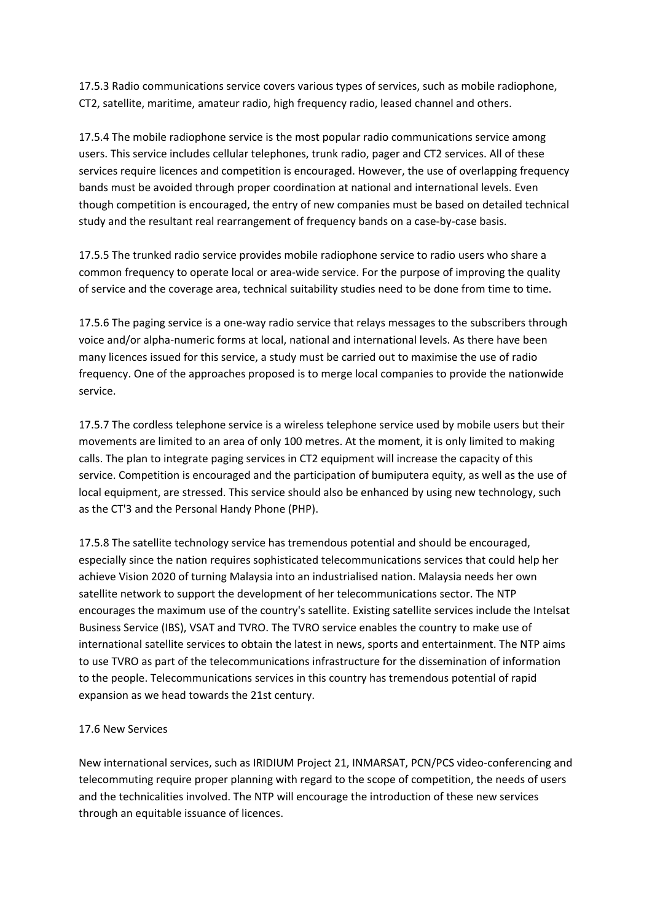17.5.3 Radio communications service covers various types of services, such as mobile radiophone, CT2, satellite, maritime, amateur radio, high frequency radio, leased channel and others.

17.5.4 The mobile radiophone service is the most popular radio communications service among users. This service includes cellular telephones, trunk radio, pager and CT2 services. All of these services require licences and competition is encouraged. However, the use of overlapping frequency bands must be avoided through proper coordination at national and international levels. Even though competition is encouraged, the entry of new companies must be based on detailed technical study and the resultant real rearrangement of frequency bands on a case-by-case basis.

17.5.5 The trunked radio service provides mobile radiophone service to radio users who share a common frequency to operate local or area-wide service. For the purpose of improving the quality of service and the coverage area, technical suitability studies need to be done from time to time.

17.5.6 The paging service is a one‐way radio service that relays messages to the subscribers through voice and/or alpha‐numeric forms at local, national and international levels. As there have been many licences issued for this service, a study must be carried out to maximise the use of radio frequency. One of the approaches proposed is to merge local companies to provide the nationwide service.

17.5.7 The cordless telephone service is a wireless telephone service used by mobile users but their movements are limited to an area of only 100 metres. At the moment, it is only limited to making calls. The plan to integrate paging services in CT2 equipment will increase the capacity of this service. Competition is encouraged and the participation of bumiputera equity, as well as the use of local equipment, are stressed. This service should also be enhanced by using new technology, such as the CT'3 and the Personal Handy Phone (PHP).

17.5.8 The satellite technology service has tremendous potential and should be encouraged, especially since the nation requires sophisticated telecommunications services that could help her achieve Vision 2020 of turning Malaysia into an industrialised nation. Malaysia needs her own satellite network to support the development of her telecommunications sector. The NTP encourages the maximum use of the country's satellite. Existing satellite services include the Intelsat Business Service (IBS), VSAT and TVRO. The TVRO service enables the country to make use of international satellite services to obtain the latest in news, sports and entertainment. The NTP aims to use TVRO as part of the telecommunications infrastructure for the dissemination of information to the people. Telecommunications services in this country has tremendous potential of rapid expansion as we head towards the 21st century.

### 17.6 New Services

New international services, such as IRIDIUM Project 21, INMARSAT, PCN/PCS video‐conferencing and telecommuting require proper planning with regard to the scope of competition, the needs of users and the technicalities involved. The NTP will encourage the introduction of these new services through an equitable issuance of licences.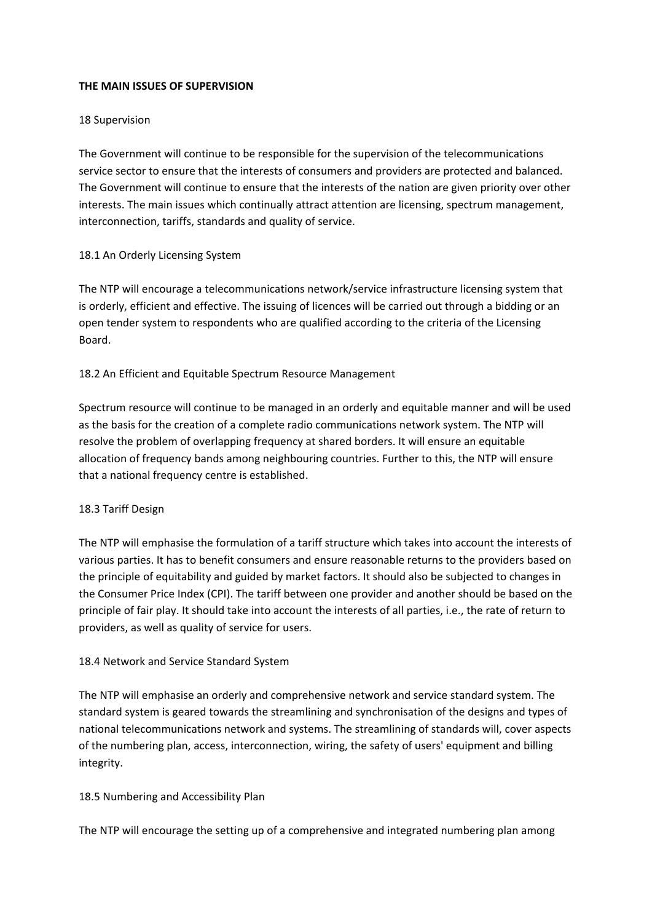### **THE MAIN ISSUES OF SUPERVISION**

#### 18 Supervision

The Government will continue to be responsible for the supervision of the telecommunications service sector to ensure that the interests of consumers and providers are protected and balanced. The Government will continue to ensure that the interests of the nation are given priority over other interests. The main issues which continually attract attention are licensing, spectrum management, interconnection, tariffs, standards and quality of service.

### 18.1 An Orderly Licensing System

The NTP will encourage a telecommunications network/service infrastructure licensing system that is orderly, efficient and effective. The issuing of licences will be carried out through a bidding or an open tender system to respondents who are qualified according to the criteria of the Licensing Board.

### 18.2 An Efficient and Equitable Spectrum Resource Management

Spectrum resource will continue to be managed in an orderly and equitable manner and will be used as the basis for the creation of a complete radio communications network system. The NTP will resolve the problem of overlapping frequency at shared borders. It will ensure an equitable allocation of frequency bands among neighbouring countries. Further to this, the NTP will ensure that a national frequency centre is established.

### 18.3 Tariff Design

The NTP will emphasise the formulation of a tariff structure which takes into account the interests of various parties. It has to benefit consumers and ensure reasonable returns to the providers based on the principle of equitability and guided by market factors. It should also be subjected to changes in the Consumer Price Index (CPI). The tariff between one provider and another should be based on the principle of fair play. It should take into account the interests of all parties, i.e., the rate of return to providers, as well as quality of service for users.

### 18.4 Network and Service Standard System

The NTP will emphasise an orderly and comprehensive network and service standard system. The standard system is geared towards the streamlining and synchronisation of the designs and types of national telecommunications network and systems. The streamlining of standards will, cover aspects of the numbering plan, access, interconnection, wiring, the safety of users' equipment and billing integrity.

### 18.5 Numbering and Accessibility Plan

The NTP will encourage the setting up of a comprehensive and integrated numbering plan among